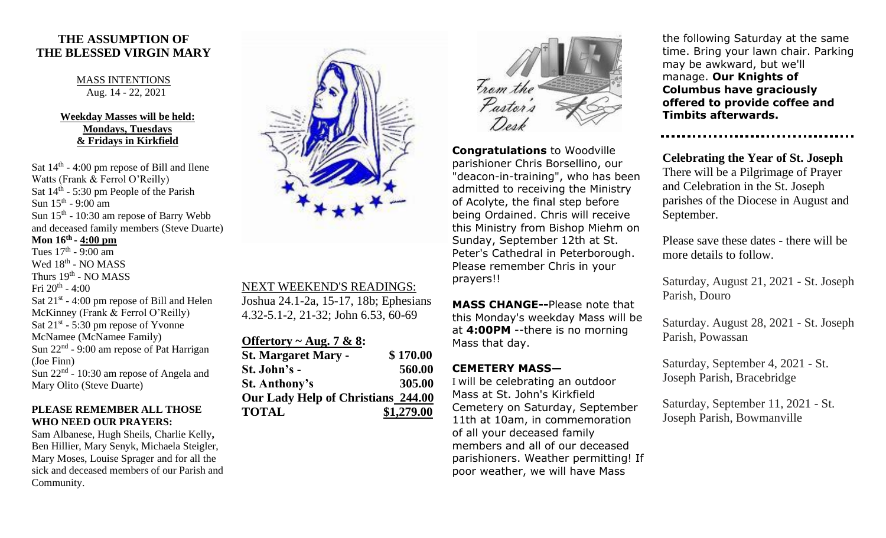## **THE ASSUMPTION OF THE BLESSED VIRGIN MARY**

#### MASS INTENTIONS Aug. 14 - 22, 2021

### **Weekday Masses will be held: Mondays, Tuesdays & Fridays in Kirkfield**

Sat  $14<sup>th</sup>$  - 4:00 pm repose of Bill and Ilene Watts (Frank & Ferrol O'Reilly) Sat 14<sup>th</sup> - 5:30 pm People of the Parish Sun  $15^{\text{th}}$  - 9:00 am Sun  $15<sup>th</sup>$  - 10:30 am repose of Barry Webb and deceased family members (Steve Duarte)

**Mon 16th - 4:00 pm** Tues  $17<sup>th</sup>$  - 9:00 am Wed 18<sup>th</sup> - NO MASS Thurs 19<sup>th</sup> - NO MASS Fri 20th - 4:00 Sat  $21^{st}$  - 4:00 pm repose of Bill and Helen McKinney (Frank & Ferrol O'Reilly) Sat  $21^{st}$  - 5:30 pm repose of Yvonne McNamee (McNamee Family) Sun 22<sup>nd</sup> - 9:00 am repose of Pat Harrigan (Joe Finn) Sun 22<sup>nd</sup> - 10:30 am repose of Angela and Mary Olito (Steve Duarte)

#### **PLEASE REMEMBER ALL THOSE WHO NEED OUR PRAYERS:**

Sam Albanese, Hugh Sheils, Charlie Kelly**,**  Ben Hillier, Mary Senyk, Michaela Steigler, Mary Moses, Louise Sprager and for all the sick and deceased members of our Parish and Community.



### NEXT WEEKEND'S READINGS:

Joshua 24.1-2a, 15-17, 18b; Ephesians 4.32-5.1-2, 21-32; John 6.53, 60-69

| Offertory ~ Aug. 7 & 8:            |            |
|------------------------------------|------------|
| <b>St. Margaret Mary -</b>         | \$170.00   |
| St. John's -                       | 560.00     |
| <b>St. Anthony's</b>               | 305.00     |
| Our Lady Help of Christians 244.00 |            |
| <b>TOTAL</b>                       | \$1,279.00 |



**Congratulations** to Woodville parishioner Chris Borsellino, our "deacon-in-training", who has been admitted to receiving the Ministry of Acolyte, the final step before being Ordained. Chris will receive this Ministry from Bishop Miehm on Sunday, September 12th at St. Peter's Cathedral in Peterborough. Please remember Chris in your prayers!!

**MASS CHANGE--**Please note that this Monday's weekday Mass will be at **4:00PM** --there is no morning Mass that day.

# **CEMETERY MASS—**

I will be celebrating an outdoor Mass at St. John's Kirkfield Cemetery on Saturday, September 11th at 10am, in commemoration of all your deceased family members and all of our deceased parishioners. Weather permitting! If poor weather, we will have Mass

the following Saturday at the same time. Bring your lawn chair. Parking may be awkward, but we'll manage. **Our Knights of Columbus have graciously offered to provide coffee and Timbits afterwards.**

**Celebrating the Year of St. Joseph** There will be a Pilgrimage of Prayer and Celebration in the St. Joseph parishes of the Diocese in August and September.

Please save these dates - there will be more details to follow.

Saturday, August 21, 2021 - St. Joseph Parish, Douro

Saturday. August 28, 2021 - St. Joseph Parish, Powassan

Saturday, September 4, 2021 - St. Joseph Parish, Bracebridge

Saturday, September 11, 2021 - St. Joseph Parish, Bowmanville